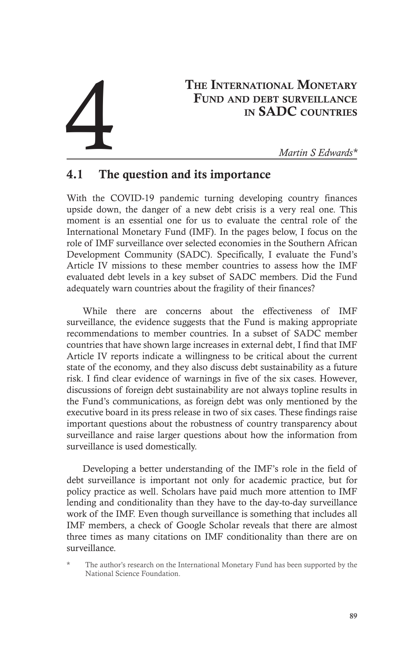# THE INTERNATIONAL MONETARY FUND AND DEBT SURVEILLANCE<br>IN **SADC** COUNTRIES THE INTERNATIONAL MONETARY<br>
FUND AND DEBT SURVEILLANCE<br>
IN SADC COUNTRIES<br>
Martin S Edwards\*

## 4.1 The question and its importance

With the COVID-19 pandemic turning developing country finances upside down, the danger of a new debt crisis is a very real one. This moment is an essential one for us to evaluate the central role of the International Monetary Fund (IMF). In the pages below, I focus on the role of IMF surveillance over selected economies in the Southern African Development Community (SADC). Specifically, I evaluate the Fund's Article IV missions to these member countries to assess how the IMF evaluated debt levels in a key subset of SADC members. Did the Fund adequately warn countries about the fragility of their finances?

While there are concerns about the effectiveness of IMF surveillance, the evidence suggests that the Fund is making appropriate recommendations to member countries. In a subset of SADC member countries that have shown large increases in external debt, I find that IMF Article IV reports indicate a willingness to be critical about the current state of the economy, and they also discuss debt sustainability as a future risk. I find clear evidence of warnings in five of the six cases. However, discussions of foreign debt sustainability are not always topline results in the Fund's communications, as foreign debt was only mentioned by the executive board in its press release in two of six cases. These findings raise important questions about the robustness of country transparency about surveillance and raise larger questions about how the information from surveillance is used domestically.

Developing a better understanding of the IMF's role in the field of debt surveillance is important not only for academic practice, but for policy practice as well. Scholars have paid much more attention to IMF lending and conditionality than they have to the day-to-day surveillance work of the IMF. Even though surveillance is something that includes all IMF members, a check of Google Scholar reveals that there are almost three times as many citations on IMF conditionality than there are on surveillance.

The author's research on the International Monetary Fund has been supported by the National Science Foundation.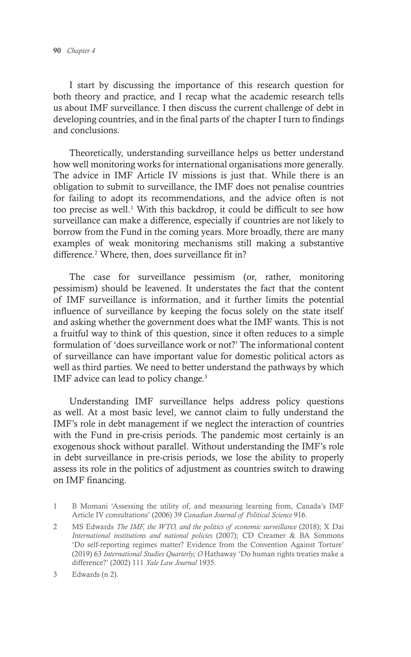I start by discussing the importance of this research question for both theory and practice, and I recap what the academic research tells us about IMF surveillance. I then discuss the current challenge of debt in developing countries, and in the final parts of the chapter I turn to findings and conclusions.

Theoretically, understanding surveillance helps us better understand how well monitoring works for international organisations more generally. The advice in IMF Article IV missions is just that. While there is an obligation to submit to surveillance, the IMF does not penalise countries for failing to adopt its recommendations, and the advice often is not too precise as well.<sup>1</sup> With this backdrop, it could be difficult to see how surveillance can make a difference, especially if countries are not likely to borrow from the Fund in the coming years. More broadly, there are many examples of weak monitoring mechanisms still making a substantive difference.<sup>2</sup> Where, then, does surveillance fit in?

The case for surveillance pessimism (or, rather, monitoring pessimism) should be leavened. It understates the fact that the content of IMF surveillance is information, and it further limits the potential influence of surveillance by keeping the focus solely on the state itself and asking whether the government does what the IMF wants. This is not a fruitful way to think of this question, since it often reduces to a simple formulation of 'does surveillance work or not?' The informational content of surveillance can have important value for domestic political actors as well as third parties. We need to better understand the pathways by which IMF advice can lead to policy change.3

Understanding IMF surveillance helps address policy questions as well. At a most basic level, we cannot claim to fully understand the IMF's role in debt management if we neglect the interaction of countries with the Fund in pre-crisis periods. The pandemic most certainly is an exogenous shock without parallel. Without understanding the IMF's role in debt surveillance in pre-crisis periods, we lose the ability to properly assess its role in the politics of adjustment as countries switch to drawing on IMF financing.

- 1 B Momani 'Assessing the utility of, and measuring learning from, Canada's IMF Article IV consultations' (2006) 39 *Canadian Journal of Political Science* 916.
- 2 MS Edwards *The IMF, the WTO, and the politics of economic surveillance* (2018); X Dai *International institutions and national policies* (2007); CD Creamer & BA Simmons 'Do self-reporting regimes matter? Evidence from the Convention Against Torture' (2019) 63 *International Studies Quarterly; O* Hathaway 'Do human rights treaties make a difference?' (2002) 111 *Yale Law Journal* 1935*.*

<sup>3</sup> Edwards (n 2).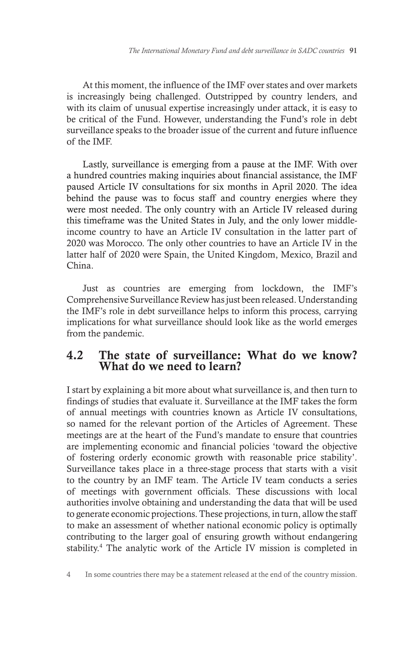At this moment, the influence of the IMF over states and over markets is increasingly being challenged. Outstripped by country lenders, and with its claim of unusual expertise increasingly under attack, it is easy to be critical of the Fund. However, understanding the Fund's role in debt surveillance speaks to the broader issue of the current and future influence of the IMF.

Lastly, surveillance is emerging from a pause at the IMF. With over a hundred countries making inquiries about financial assistance, the IMF paused Article IV consultations for six months in April 2020. The idea behind the pause was to focus staff and country energies where they were most needed. The only country with an Article IV released during this timeframe was the United States in July, and the only lower middleincome country to have an Article IV consultation in the latter part of 2020 was Morocco. The only other countries to have an Article IV in the latter half of 2020 were Spain, the United Kingdom, Mexico, Brazil and China.

Just as countries are emerging from lockdown, the IMF's Comprehensive Surveillance Review has just been released. Understanding the IMF's role in debt surveillance helps to inform this process, carrying implications for what surveillance should look like as the world emerges from the pandemic.

#### 4.2 The state of surveillance: What do we know? What do we need to learn?

I start by explaining a bit more about what surveillance is, and then turn to findings of studies that evaluate it. Surveillance at the IMF takes the form of annual meetings with countries known as Article IV consultations, so named for the relevant portion of the Articles of Agreement. These meetings are at the heart of the Fund's mandate to ensure that countries are implementing economic and financial policies 'toward the objective of fostering orderly economic growth with reasonable price stability'. Surveillance takes place in a three-stage process that starts with a visit to the country by an IMF team. The Article IV team conducts a series of meetings with government officials. These discussions with local authorities involve obtaining and understanding the data that will be used to generate economic projections. These projections, in turn, allow the staff to make an assessment of whether national economic policy is optimally contributing to the larger goal of ensuring growth without endangering stability.4 The analytic work of the Article IV mission is completed in

4 In some countries there may be a statement released at the end of the country mission.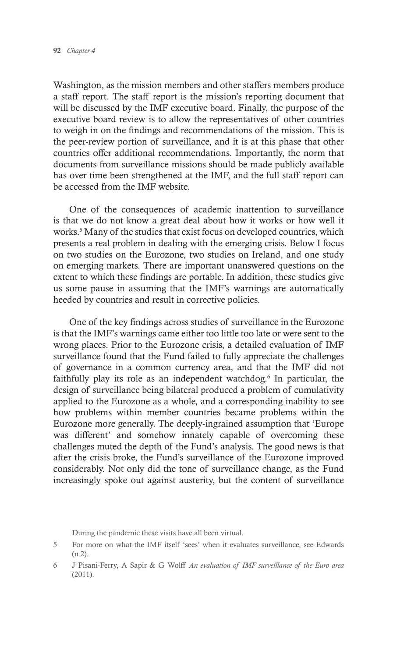Washington, as the mission members and other staffers members produce a staff report. The staff report is the mission's reporting document that will be discussed by the IMF executive board. Finally, the purpose of the executive board review is to allow the representatives of other countries to weigh in on the findings and recommendations of the mission. This is the peer-review portion of surveillance, and it is at this phase that other countries offer additional recommendations. Importantly, the norm that documents from surveillance missions should be made publicly available has over time been strengthened at the IMF, and the full staff report can be accessed from the IMF website.

One of the consequences of academic inattention to surveillance is that we do not know a great deal about how it works or how well it works.<sup>5</sup> Many of the studies that exist focus on developed countries, which presents a real problem in dealing with the emerging crisis. Below I focus on two studies on the Eurozone, two studies on Ireland, and one study on emerging markets. There are important unanswered questions on the extent to which these findings are portable. In addition, these studies give us some pause in assuming that the IMF's warnings are automatically heeded by countries and result in corrective policies.

One of the key findings across studies of surveillance in the Eurozone is that the IMF's warnings came either too little too late or were sent to the wrong places. Prior to the Eurozone crisis, a detailed evaluation of IMF surveillance found that the Fund failed to fully appreciate the challenges of governance in a common currency area, and that the IMF did not faithfully play its role as an independent watchdog.<sup>6</sup> In particular, the design of surveillance being bilateral produced a problem of cumulativity applied to the Eurozone as a whole, and a corresponding inability to see how problems within member countries became problems within the Eurozone more generally. The deeply-ingrained assumption that 'Europe was different' and somehow innately capable of overcoming these challenges muted the depth of the Fund's analysis. The good news is that after the crisis broke, the Fund's surveillance of the Eurozone improved considerably. Not only did the tone of surveillance change, as the Fund increasingly spoke out against austerity, but the content of surveillance

During the pandemic these visits have all been virtual.

<sup>5</sup> For more on what the IMF itself 'sees' when it evaluates surveillance, see Edwards (n 2).

<sup>6</sup> J Pisani-Ferry, A Sapir & G Wolff *An evaluation of IMF surveillance of the Euro area* (2011).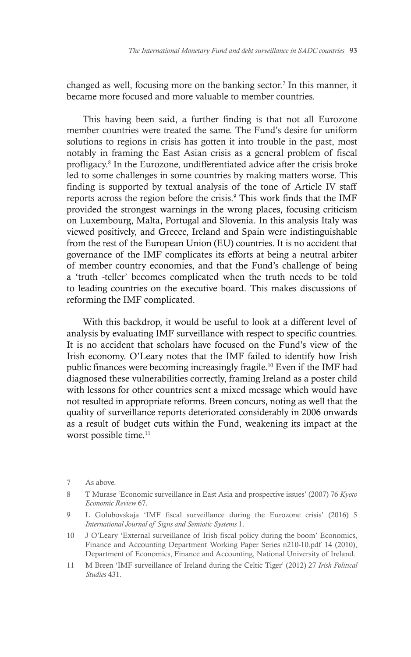changed as well, focusing more on the banking sector.<sup>7</sup> In this manner, it became more focused and more valuable to member countries.

This having been said, a further finding is that not all Eurozone member countries were treated the same. The Fund's desire for uniform solutions to regions in crisis has gotten it into trouble in the past, most notably in framing the East Asian crisis as a general problem of fiscal profligacy.8 In the Eurozone, undifferentiated advice after the crisis broke led to some challenges in some countries by making matters worse. This finding is supported by textual analysis of the tone of Article IV staff reports across the region before the crisis. 9 This work finds that the IMF provided the strongest warnings in the wrong places, focusing criticism on Luxembourg, Malta, Portugal and Slovenia. In this analysis Italy was viewed positively, and Greece, Ireland and Spain were indistinguishable from the rest of the European Union (EU) countries. It is no accident that governance of the IMF complicates its efforts at being a neutral arbiter of member country economies, and that the Fund's challenge of being a 'truth -teller' becomes complicated when the truth needs to be told to leading countries on the executive board. This makes discussions of reforming the IMF complicated.

With this backdrop, it would be useful to look at a different level of analysis by evaluating IMF surveillance with respect to specific countries. It is no accident that scholars have focused on the Fund's view of the Irish economy. O'Leary notes that the IMF failed to identify how Irish public finances were becoming increasingly fragile.10 Even if the IMF had diagnosed these vulnerabilities correctly, framing Ireland as a poster child with lessons for other countries sent a mixed message which would have not resulted in appropriate reforms. Breen concurs, noting as well that the quality of surveillance reports deteriorated considerably in 2006 onwards as a result of budget cuts within the Fund, weakening its impact at the worst possible time.<sup>11</sup>

- 7 As above.
- 8 T Murase 'Economic surveillance in East Asia and prospective issues' (2007) 76 *Kyoto Economic Review* 67.
- 9 L Golubovskaja 'IMF fiscal surveillance during the Eurozone crisis' (2016) 5 *International Journal of Signs and Semiotic Systems* 1.
- 10 J O'Leary 'External surveillance of Irish fiscal policy during the boom' Economics, Finance and Accounting Department Working Paper Series n210-10.pdf 14 (2010), Department of Economics, Finance and Accounting, National University of Ireland.
- 11 M Breen 'IMF surveillance of Ireland during the Celtic Tiger' (2012) 27 *Irish Political Studies* 431.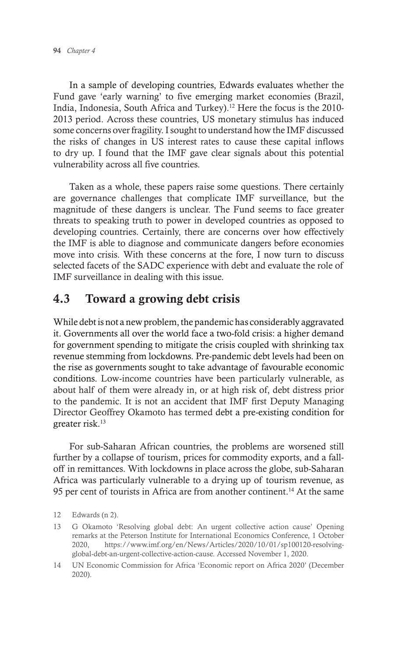In a sample of developing countries, Edwards evaluates whether the Fund gave 'early warning' to five emerging market economies (Brazil, India, Indonesia, South Africa and Turkey).<sup>12</sup> Here the focus is the 2010-2013 period. Across these countries, US monetary stimulus has induced some concerns over fragility. I sought to understand how the IMF discussed the risks of changes in US interest rates to cause these capital inflows to dry up. I found that the IMF gave clear signals about this potential vulnerability across all five countries.

Taken as a whole, these papers raise some questions. There certainly are governance challenges that complicate IMF surveillance, but the magnitude of these dangers is unclear. The Fund seems to face greater threats to speaking truth to power in developed countries as opposed to developing countries. Certainly, there are concerns over how effectively the IMF is able to diagnose and communicate dangers before economies move into crisis. With these concerns at the fore, I now turn to discuss selected facets of the SADC experience with debt and evaluate the role of IMF surveillance in dealing with this issue.

# 4.3 Toward a growing debt crisis

While debt is not a new problem, the pandemic has considerably aggravated it. Governments all over the world face a two-fold crisis: a higher demand for government spending to mitigate the crisis coupled with shrinking tax revenue stemming from lockdowns. Pre-pandemic debt levels had been on the rise as governments sought to take advantage of favourable economic conditions. Low-income countries have been particularly vulnerable, as about half of them were already in, or at high risk of, debt distress prior to the pandemic. It is not an accident that IMF first Deputy Managing Director Geoffrey Okamoto has termed debt a pre-existing condition for greater risk.13

For sub-Saharan African countries, the problems are worsened still further by a collapse of tourism, prices for commodity exports, and a falloff in remittances. With lockdowns in place across the globe, sub-Saharan Africa was particularly vulnerable to a drying up of tourism revenue, as 95 per cent of tourists in Africa are from another continent.<sup>14</sup> At the same

<sup>12</sup> Edwards (n 2).

<sup>13</sup> G Okamoto 'Resolving global debt: An urgent collective action cause' Opening remarks at the Peterson Institute for International Economics Conference, 1 October 2020, https://www.imf.org/en/News/Articles/2020/10/01/sp100120-resolvingglobal-debt-an-urgent-collective-action-cause. Accessed November 1, 2020.

<sup>14</sup> UN Economic Commission for Africa 'Economic report on Africa 2020' (December 2020).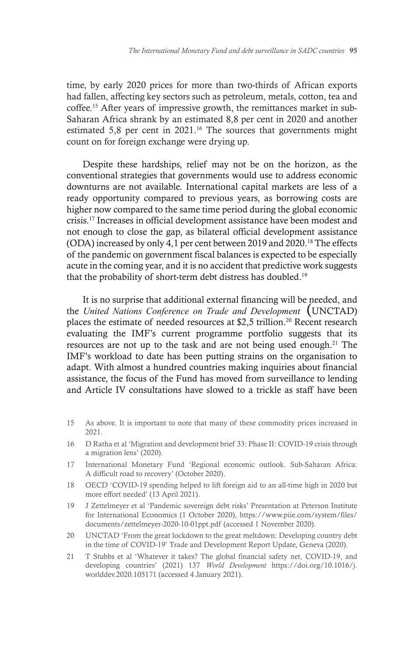time, by early 2020 prices for more than two-thirds of African exports had fallen, affecting key sectors such as petroleum, metals, cotton, tea and coffee.15 After years of impressive growth, the remittances market in sub-Saharan Africa shrank by an estimated 8,8 per cent in 2020 and another estimated 5,8 per cent in 2021.<sup>16</sup> The sources that governments might count on for foreign exchange were drying up.

Despite these hardships, relief may not be on the horizon, as the conventional strategies that governments would use to address economic downturns are not available. International capital markets are less of a ready opportunity compared to previous years, as borrowing costs are higher now compared to the same time period during the global economic crisis.17 Increases in official development assistance have been modest and not enough to close the gap, as bilateral official development assistance (ODA) increased by only 4,1 per cent between 2019 and 2020.18 The effects of the pandemic on government fiscal balances is expected to be especially acute in the coming year, and it is no accident that predictive work suggests that the probability of short-term debt distress has doubled.<sup>19</sup>

It is no surprise that additional external financing will be needed, and the *United Nations Conference on Trade and Development* (UNCTAD) places the estimate of needed resources at \$2,5 trillion.<sup>20</sup> Recent research evaluating the IMF's current programme portfolio suggests that its resources are not up to the task and are not being used enough.21 The IMF's workload to date has been putting strains on the organisation to adapt. With almost a hundred countries making inquiries about financial assistance, the focus of the Fund has moved from surveillance to lending and Article IV consultations have slowed to a trickle as staff have been

- 15 As above. It is important to note that many of these commodity prices increased in 2021.
- 16 D Ratha et al 'Migration and development brief 33: Phase II: COVID-19 crisis through a migration lens' (2020).
- 17 International Monetary Fund 'Regional economic outlook. Sub-Saharan Africa: A difficult road to recovery' (October 2020).
- 18 OECD 'COVID-19 spending helped to lift foreign aid to an all-time high in 2020 but more effort needed' (13 April 2021).
- 19 J Zettelmeyer et al 'Pandemic sovereign debt risks' Presentation at Peterson Institute for International Economics (1 October 2020), https://www.piie.com/system/files/ documents/zettelmeyer-2020-10-01ppt.pdf (accessed 1 November 2020).
- 20 UNCTAD 'From the great lockdown to the great meltdown: Developing country debt in the time of COVID-19' Trade and Development Report Update, Geneva (2020).
- 21 T Stubbs et al 'Whatever it takes? The global financial safety net, COVID-19, and developing countries' (2021) 137 *World Development* https://doi.org/10.1016/j. worlddev.2020.105171 (accessed 4 January 2021).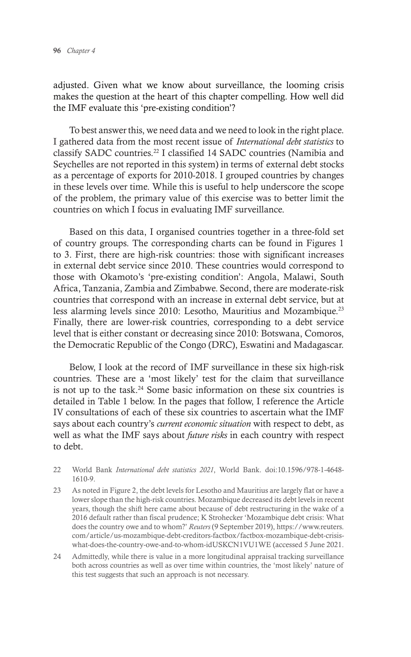adjusted. Given what we know about surveillance, the looming crisis makes the question at the heart of this chapter compelling. How well did the IMF evaluate this 'pre-existing condition'?

To best answer this, we need data and we need to look in the right place. I gathered data from the most recent issue of *International debt statistics* to classify SADC countries.22 I classified 14 SADC countries (Namibia and Seychelles are not reported in this system) in terms of external debt stocks as a percentage of exports for 2010-2018. I grouped countries by changes in these levels over time. While this is useful to help underscore the scope of the problem, the primary value of this exercise was to better limit the countries on which I focus in evaluating IMF surveillance.

Based on this data, I organised countries together in a three-fold set of country groups. The corresponding charts can be found in Figures 1 to 3. First, there are high-risk countries: those with significant increases in external debt service since 2010. These countries would correspond to those with Okamoto's 'pre-existing condition': Angola, Malawi, South Africa, Tanzania, Zambia and Zimbabwe. Second, there are moderate-risk countries that correspond with an increase in external debt service, but at less alarming levels since 2010: Lesotho, Mauritius and Mozambique.23 Finally, there are lower-risk countries, corresponding to a debt service level that is either constant or decreasing since 2010: Botswana, Comoros, the Democratic Republic of the Congo (DRC), Eswatini and Madagascar.

Below, I look at the record of IMF surveillance in these six high-risk countries. These are a 'most likely' test for the claim that surveillance is not up to the task.<sup>24</sup> Some basic information on these six countries is detailed in Table 1 below. In the pages that follow, I reference the Article IV consultations of each of these six countries to ascertain what the IMF says about each country's *current economic situation* with respect to debt, as well as what the IMF says about *future risks* in each country with respect to debt.

- 22 World Bank *International debt statistics 2021*, World Bank. doi:10.1596/978-1-4648- 1610-9.
- 23 As noted in Figure 2, the debt levels for Lesotho and Mauritius are largely flat or have a lower slope than the high-risk countries. Mozambique decreased its debt levels in recent years, though the shift here came about because of debt restructuring in the wake of a 2016 default rather than fiscal prudence; K Strohecker 'Mozambique debt crisis: What does the country owe and to whom?' *Reuters* (9 September 2019), https://www.reuters. com/article/us-mozambique-debt-creditors-factbox/factbox-mozambique-debt-crisiswhat-does-the-country-owe-and-to-whom-idUSKCN1VU1WE (accessed 5 June 2021.
- 24 Admittedly, while there is value in a more longitudinal appraisal tracking surveillance both across countries as well as over time within countries, the 'most likely' nature of this test suggests that such an approach is not necessary.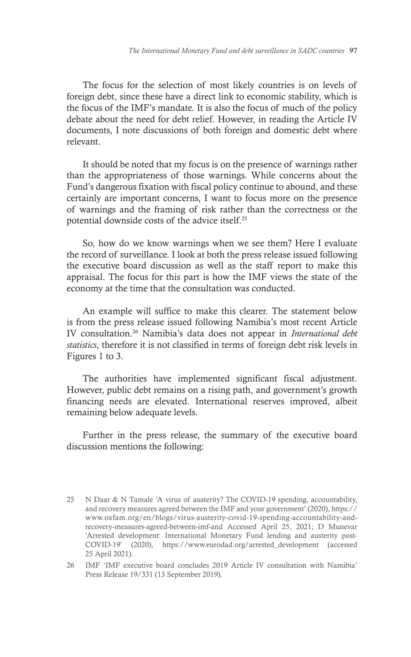The focus for the selection of most likely countries is on levels of foreign debt, since these have a direct link to economic stability, which is the focus of the IMF's mandate. It is also the focus of much of the policy debate about the need for debt relief. However, in reading the Article IV documents, I note discussions of both foreign and domestic debt where relevant.

It should be noted that my focus is on the presence of warnings rather than the appropriateness of those warnings. While concerns about the Fund's dangerous fixation with fiscal policy continue to abound, and these certainly are important concerns, I want to focus more on the presence of warnings and the framing of risk rather than the correctness or the potential downside costs of the advice itself.25

So, how do we know warnings when we see them? Here I evaluate the record of surveillance. I look at both the press release issued following the executive board discussion as well as the staff report to make this appraisal. The focus for this part is how the IMF views the state of the economy at the time that the consultation was conducted.

An example will suffice to make this clearer. The statement below is from the press release issued following Namibia's most recent Article IV consultation.26 Namibia's data does not appear in *International debt statistics*, therefore it is not classified in terms of foreign debt risk levels in Figures 1 to 3.

The authorities have implemented significant fiscal adjustment. However, public debt remains on a rising path, and government's growth financing needs are elevated. International reserves improved, albeit remaining below adequate levels.

Further in the press release, the summary of the executive board discussion mentions the following:

<sup>25</sup> N Daar & N Tamale 'A virus of austerity? The COVID-19 spending, accountability, and recovery measures agreed between the IMF and your government' (2020), https:// www.oxfam.org/en/blogs/virus-austerity-covid-19-spending-accountability-andrecovery-measures-agreed-between-imf-and Accessed April 25, 2021; D Munevar 'Arrested development: International Monetary Fund lending and austerity post-COVID-19' (2020), https://www.eurodad.org/arrested\_development (accessed 25 April 2021).

<sup>26</sup> IMF 'IMF executive board concludes 2019 Article IV consultation with Namibia' Press Release 19/331 (13 September 2019).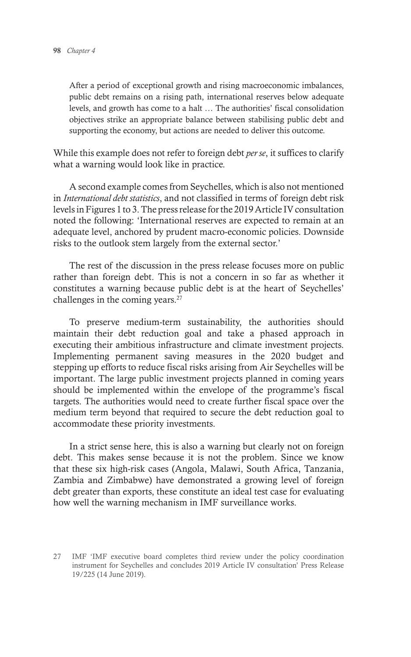After a period of exceptional growth and rising macroeconomic imbalances, public debt remains on a rising path, international reserves below adequate levels, and growth has come to a halt … The authorities' fiscal consolidation objectives strike an appropriate balance between stabilising public debt and supporting the economy, but actions are needed to deliver this outcome.

While this example does not refer to foreign debt *per se*, it suffices to clarify what a warning would look like in practice.

A second example comes from Seychelles, which is also not mentioned in *International debt statistics*, and not classified in terms of foreign debt risk levels in Figures 1 to 3. The press release for the 2019 Article IV consultation noted the following: 'International reserves are expected to remain at an adequate level, anchored by prudent macro-economic policies. Downside risks to the outlook stem largely from the external sector.'

The rest of the discussion in the press release focuses more on public rather than foreign debt. This is not a concern in so far as whether it constitutes a warning because public debt is at the heart of Seychelles' challenges in the coming years.<sup>27</sup>

To preserve medium-term sustainability, the authorities should maintain their debt reduction goal and take a phased approach in executing their ambitious infrastructure and climate investment projects. Implementing permanent saving measures in the 2020 budget and stepping up efforts to reduce fiscal risks arising from Air Seychelles will be important. The large public investment projects planned in coming years should be implemented within the envelope of the programme's fiscal targets. The authorities would need to create further fiscal space over the medium term beyond that required to secure the debt reduction goal to accommodate these priority investments.

In a strict sense here, this is also a warning but clearly not on foreign debt. This makes sense because it is not the problem. Since we know that these six high-risk cases (Angola, Malawi, South Africa, Tanzania, Zambia and Zimbabwe) have demonstrated a growing level of foreign debt greater than exports, these constitute an ideal test case for evaluating how well the warning mechanism in IMF surveillance works.

<sup>27</sup> IMF 'IMF executive board completes third review under the policy coordination instrument for Seychelles and concludes 2019 Article IV consultation' Press Release 19/225 (14 June 2019).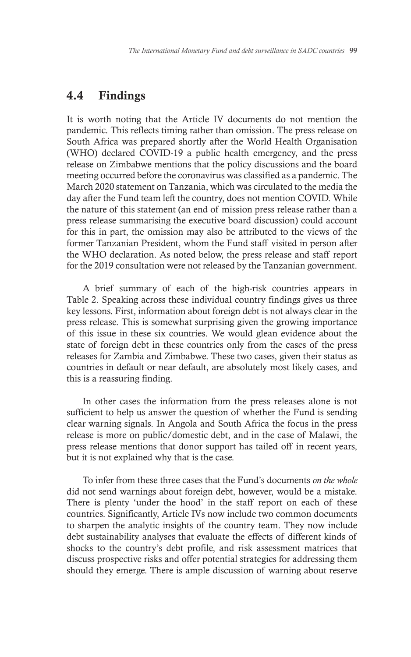### 4.4 Findings

It is worth noting that the Article IV documents do not mention the pandemic. This reflects timing rather than omission. The press release on South Africa was prepared shortly after the World Health Organisation (WHO) declared COVID-19 a public health emergency, and the press release on Zimbabwe mentions that the policy discussions and the board meeting occurred before the coronavirus was classified as a pandemic. The March 2020 statement on Tanzania, which was circulated to the media the day after the Fund team left the country, does not mention COVID. While the nature of this statement (an end of mission press release rather than a press release summarising the executive board discussion) could account for this in part, the omission may also be attributed to the views of the former Tanzanian President, whom the Fund staff visited in person after the WHO declaration. As noted below, the press release and staff report for the 2019 consultation were not released by the Tanzanian government.

A brief summary of each of the high-risk countries appears in Table 2. Speaking across these individual country findings gives us three key lessons. First, information about foreign debt is not always clear in the press release. This is somewhat surprising given the growing importance of this issue in these six countries. We would glean evidence about the state of foreign debt in these countries only from the cases of the press releases for Zambia and Zimbabwe. These two cases, given their status as countries in default or near default, are absolutely most likely cases, and this is a reassuring finding.

In other cases the information from the press releases alone is not sufficient to help us answer the question of whether the Fund is sending clear warning signals. In Angola and South Africa the focus in the press release is more on public/domestic debt, and in the case of Malawi, the press release mentions that donor support has tailed off in recent years, but it is not explained why that is the case.

To infer from these three cases that the Fund's documents *on the whole*  did not send warnings about foreign debt, however, would be a mistake. There is plenty 'under the hood' in the staff report on each of these countries. Significantly, Article IVs now include two common documents to sharpen the analytic insights of the country team. They now include debt sustainability analyses that evaluate the effects of different kinds of shocks to the country's debt profile, and risk assessment matrices that discuss prospective risks and offer potential strategies for addressing them should they emerge. There is ample discussion of warning about reserve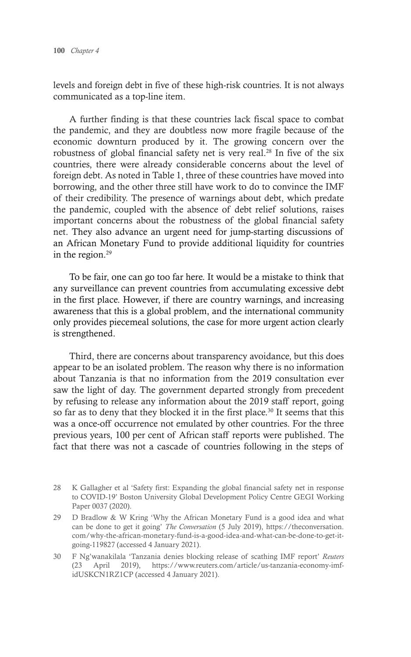levels and foreign debt in five of these high-risk countries. It is not always communicated as a top-line item.

A further finding is that these countries lack fiscal space to combat the pandemic, and they are doubtless now more fragile because of the economic downturn produced by it. The growing concern over the robustness of global financial safety net is very real.<sup>28</sup> In five of the six countries, there were already considerable concerns about the level of foreign debt. As noted in Table 1, three of these countries have moved into borrowing, and the other three still have work to do to convince the IMF of their credibility. The presence of warnings about debt, which predate the pandemic, coupled with the absence of debt relief solutions, raises important concerns about the robustness of the global financial safety net. They also advance an urgent need for jump-starting discussions of an African Monetary Fund to provide additional liquidity for countries in the region.<sup>29</sup>

To be fair, one can go too far here. It would be a mistake to think that any surveillance can prevent countries from accumulating excessive debt in the first place. However, if there are country warnings, and increasing awareness that this is a global problem, and the international community only provides piecemeal solutions, the case for more urgent action clearly is strengthened.

Third, there are concerns about transparency avoidance, but this does appear to be an isolated problem. The reason why there is no information about Tanzania is that no information from the 2019 consultation ever saw the light of day. The government departed strongly from precedent by refusing to release any information about the 2019 staff report, going so far as to deny that they blocked it in the first place.<sup>30</sup> It seems that this was a once-off occurrence not emulated by other countries. For the three previous years, 100 per cent of African staff reports were published. The fact that there was not a cascade of countries following in the steps of

<sup>28</sup> K Gallagher et al 'Safety first: Expanding the global financial safety net in response to COVID-19' Boston University Global Development Policy Centre GEGI Working Paper 0037 (2020).

<sup>29</sup> D Bradlow & W Kring 'Why the African Monetary Fund is a good idea and what can be done to get it going' *The Conversation* (5 July 2019), https://theconversation. com/why-the-african-monetary-fund-is-a-good-idea-and-what-can-be-done-to-get-itgoing-119827 (accessed 4 January 2021).

<sup>30</sup> F Ng'wanakilala 'Tanzania denies blocking release of scathing IMF report' *Reuters* (23 April 2019), https://www.reuters.com/article/us-tanzania-economy-imfidUSKCN1RZ1CP (accessed 4 January 2021).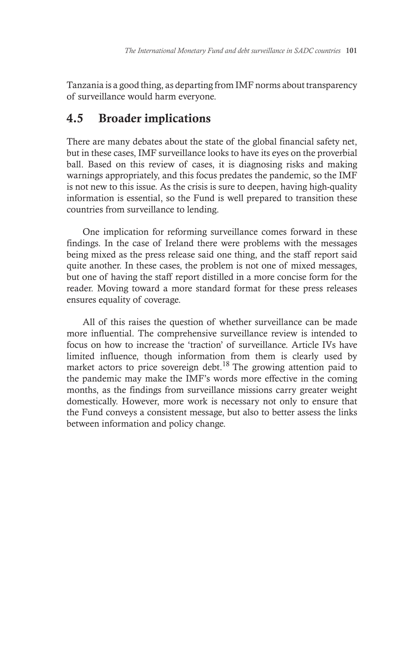Tanzania is a good thing, as departing from IMF norms about transparency of surveillance would harm everyone.

# 4.5 Broader implications

There are many debates about the state of the global financial safety net, but in these cases, IMF surveillance looks to have its eyes on the proverbial ball. Based on this review of cases, it is diagnosing risks and making warnings appropriately, and this focus predates the pandemic, so the IMF is not new to this issue. As the crisis is sure to deepen, having high-quality information is essential, so the Fund is well prepared to transition these countries from surveillance to lending.

One implication for reforming surveillance comes forward in these findings. In the case of Ireland there were problems with the messages being mixed as the press release said one thing, and the staff report said quite another. In these cases, the problem is not one of mixed messages, but one of having the staff report distilled in a more concise form for the reader. Moving toward a more standard format for these press releases ensures equality of coverage.

All of this raises the question of whether surveillance can be made more influential. The comprehensive surveillance review is intended to focus on how to increase the 'traction' of surveillance. Article IVs have limited influence, though information from them is clearly used by market actors to price sovereign debt.<sup>18</sup> The growing attention paid to the pandemic may make the IMF's words more effective in the coming months, as the findings from surveillance missions carry greater weight domestically. However, more work is necessary not only to ensure that the Fund conveys a consistent message, but also to better assess the links between information and policy change.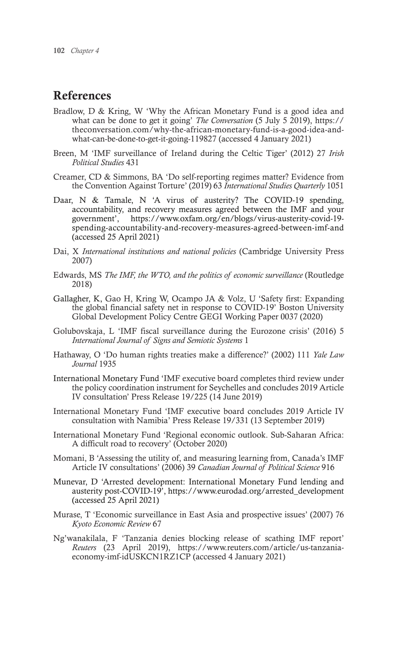### References

- Bradlow, D & Kring, W 'Why the African Monetary Fund is a good idea and what can be done to get it going' *The Conversation* (5 July 5 2019), https:// theconversation.com/why-the-african-monetary-fund-is-a-good-idea-andwhat-can-be-done-to-get-it-going-119827 (accessed 4 January 2021)
- Breen, M 'IMF surveillance of Ireland during the Celtic Tiger' (2012) 27 *Irish Political Studies* 431
- Creamer, CD & Simmons, BA 'Do self-reporting regimes matter? Evidence from the Convention Against Torture' (2019) 63 *International Studies Quarterly* 1051
- Daar, N & Tamale, N 'A virus of austerity? The COVID-19 spending, accountability, and recovery measures agreed between the IMF and your government', https://www.oxfam.org/en/blogs/virus-austerity-covid-19 spending-accountability-and-recovery-measures-agreed-between-imf-and (accessed 25 April 2021)
- Dai, X *International institutions and national policies* (Cambridge University Press 2007)
- Edwards, MS *The IMF, the WTO, and the politics of economic surveillance* (Routledge 2018)
- Gallagher, K, Gao H, Kring W, Ocampo JA & Volz, U 'Safety first: Expanding the global financial safety net in response to COVID-19' Boston University Global Development Policy Centre GEGI Working Paper 0037 (2020)
- Golubovskaja, L 'IMF fiscal surveillance during the Eurozone crisis' (2016) 5 *International Journal of Signs and Semiotic Systems* 1
- Hathaway, O 'Do human rights treaties make a difference?' (2002) 111 *Yale Law Journal* 1935
- International Monetary Fund 'IMF executive board completes third review under the policy coordination instrument for Seychelles and concludes 2019 Article IV consultation' Press Release 19/225 (14 June 2019)
- International Monetary Fund 'IMF executive board concludes 2019 Article IV consultation with Namibia' Press Release 19/331 (13 September 2019)
- International Monetary Fund 'Regional economic outlook. Sub-Saharan Africa: A difficult road to recovery' (October 2020)
- Momani, B 'Assessing the utility of, and measuring learning from, Canada's IMF Article IV consultations' (2006) 39 *Canadian Journal of Political Science* 916
- Munevar, D 'Arrested development: International Monetary Fund lending and austerity post-COVID-19', https://www.eurodad.org/arrested\_development (accessed 25 April 2021)
- Murase, T 'Economic surveillance in East Asia and prospective issues' (2007) 76 *Kyoto Economic Review* 67
- Ng'wanakilala, F 'Tanzania denies blocking release of scathing IMF report' *Reuters* (23 April 2019), https://www.reuters.com/article/us-tanzaniaeconomy-imf-idUSKCN1RZ1CP (accessed 4 January 2021)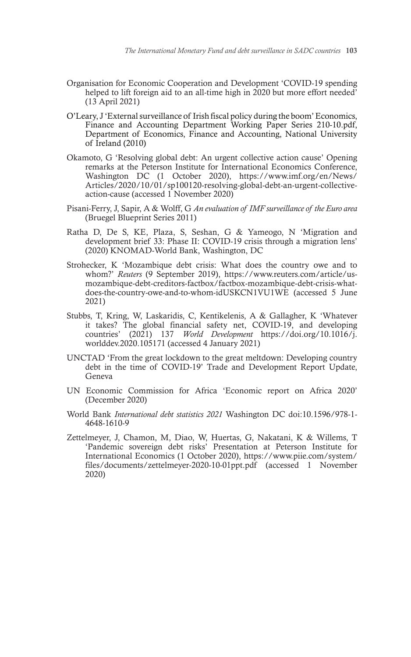- Organisation for Economic Cooperation and Development 'COVID-19 spending helped to lift foreign aid to an all-time high in 2020 but more effort needed' (13 April 2021)
- O'Leary, J 'External surveillance of Irish fiscal policy during the boom' Economics, Finance and Accounting Department Working Paper Series 210-10.pdf, Department of Economics, Finance and Accounting, National University of Ireland (2010)
- Okamoto, G 'Resolving global debt: An urgent collective action cause' Opening remarks at the Peterson Institute for International Economics Conference, Washington DC (1 October 2020), https://www.imf.org/en/News/ Articles/2020/10/01/sp100120-resolving-global-debt-an-urgent-collectiveaction-cause (accessed 1 November 2020)
- Pisani-Ferry, J, Sapir, A & Wolff, G *An evaluation of IMF surveillance of the Euro area* (Bruegel Blueprint Series 2011)
- Ratha D, De S, KE, Plaza, S, Seshan, G & Yameogo, N 'Migration and development brief 33: Phase II: COVID-19 crisis through a migration lens' (2020) KNOMAD-World Bank, Washington, DC
- Strohecker, K 'Mozambique debt crisis: What does the country owe and to whom?' *Reuters* (9 September 2019), https://www.reuters.com/article/usmozambique-debt-creditors-factbox/factbox-mozambique-debt-crisis-whatdoes-the-country-owe-and-to-whom-idUSKCN1VU1WE (accessed 5 June 2021)
- Stubbs, T, Kring, W, Laskaridis, C, Kentikelenis, A & Gallagher, K 'Whatever it takes? The global financial safety net, COVID-19, and developing countries' (2021) 137 *World Development* https://doi.org/10.1016/j. worlddev.2020.105171 (accessed 4 January 2021)
- UNCTAD 'From the great lockdown to the great meltdown: Developing country debt in the time of COVID-19' Trade and Development Report Update, Geneva
- UN Economic Commission for Africa 'Economic report on Africa 2020' (December 2020)
- World Bank *International debt statistics 2021* Washington DC doi:10.1596/978-1- 4648-1610-9
- Zettelmeyer, J, Chamon, M, Diao, W, Huertas, G, Nakatani, K & Willems, T 'Pandemic sovereign debt risks' Presentation at Peterson Institute for International Economics (1 October 2020), https://www.piie.com/system/ files/documents/zettelmeyer-2020-10-01ppt.pdf (accessed 1 November 2020)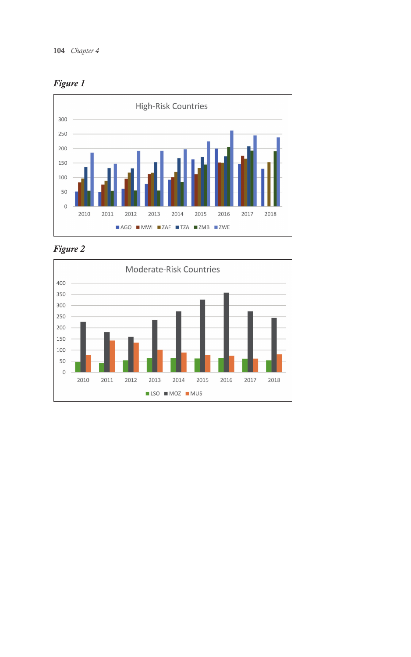





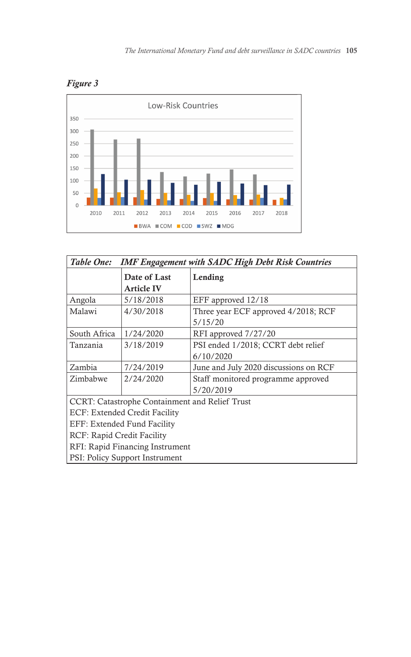



| Table One:<br><b>IMF Engagement with SADC High Debt Risk Countries</b> |                                   |                                                 |  |
|------------------------------------------------------------------------|-----------------------------------|-------------------------------------------------|--|
|                                                                        | Date of Last<br><b>Article IV</b> | Lending                                         |  |
| Angola                                                                 | 5/18/2018                         | EFF approved 12/18                              |  |
| Malawi                                                                 | 4/30/2018                         | Three year ECF approved 4/2018; RCF<br>5/15/20  |  |
| South Africa                                                           | 1/24/2020                         | RFI approved 7/27/20                            |  |
| Tanzania                                                               | 3/18/2019                         | PSI ended 1/2018; CCRT debt relief<br>6/10/2020 |  |
| Zambia                                                                 | 7/24/2019                         | June and July 2020 discussions on RCF           |  |
| Zimbabwe                                                               | 2/24/2020                         | Staff monitored programme approved<br>5/20/2019 |  |
| CCRT: Catastrophe Containment and Relief Trust                         |                                   |                                                 |  |
| ECF: Extended Credit Facility                                          |                                   |                                                 |  |
| EFF: Extended Fund Facility                                            |                                   |                                                 |  |
| RCF: Rapid Credit Facility                                             |                                   |                                                 |  |
| RFI: Rapid Financing Instrument                                        |                                   |                                                 |  |
| <b>PSI: Policy Support Instrument</b>                                  |                                   |                                                 |  |